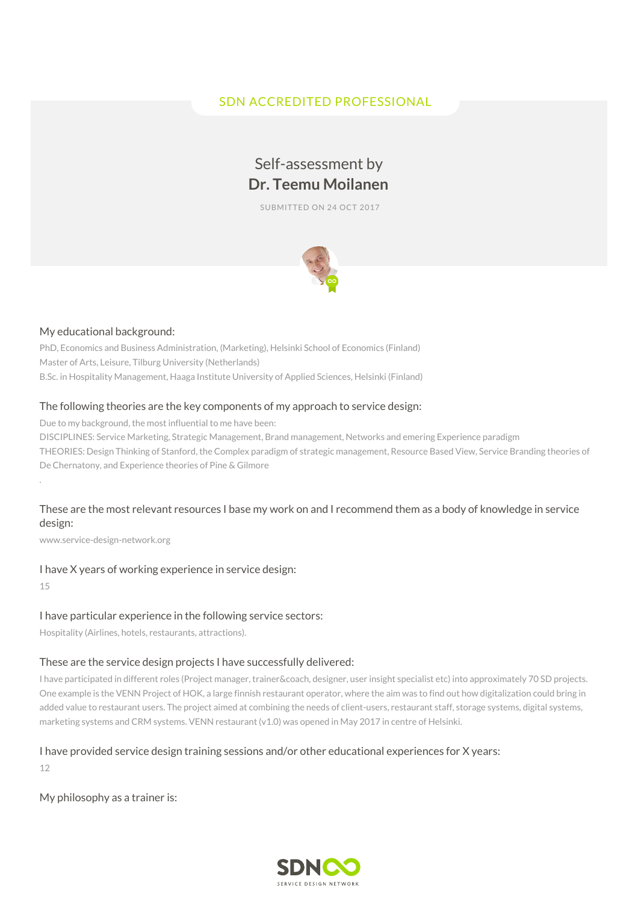# SDN ACCREDITED PROFESSIONAL

# Self-assessment by **Dr. Teemu Moilanen**

SUBMITTED ON 24 OCT 2017



#### My educational background:

PhD, Economics and Business Administration, (Marketing), Helsinki School of Economics (Finland) Master of Arts, Leisure, Tilburg University (Netherlands) B.Sc. in Hospitality Management, Haaga Institute University of Applied Sciences, Helsinki (Finland)

#### The following theories are the key components of my approach to service design:

Due to my background, the most influential to me have been:

DISCIPLINES: Service Marketing, Strategic Management, Brand management, Networks and emering Experience paradigm THEORIES: Design Thinking of Stanford, the Complex paradigm of strategic management, Resource Based View, Service Branding theories of De Chernatony, and Experience theories of Pine & Gilmore

# These are the most relevant resources I base my work on and I recommend them as a body of knowledge in service design:

www.service-design-network.org

# I have X years of working experience in service design:

15

.

#### I have particular experience in the following service sectors:

Hospitality (Airlines, hotels, restaurants, attractions).

#### These are the service design projects I have successfully delivered:

I have participated in different roles (Project manager, trainer&coach, designer, user insight specialist etc) into approximately 70 SD projects. One example is the VENN Project of HOK, a large finnish restaurant operator, where the aim was to find out how digitalization could bring in added value to restaurant users. The project aimed at combining the needs of client-users, restaurant staff, storage systems, digital systems, marketing systems and CRM systems. VENN restaurant (v1.0) was opened in May 2017 in centre of Helsinki.

#### I have provided service design training sessions and/or other educational experiences for X years:

12

My philosophy as a trainer is:

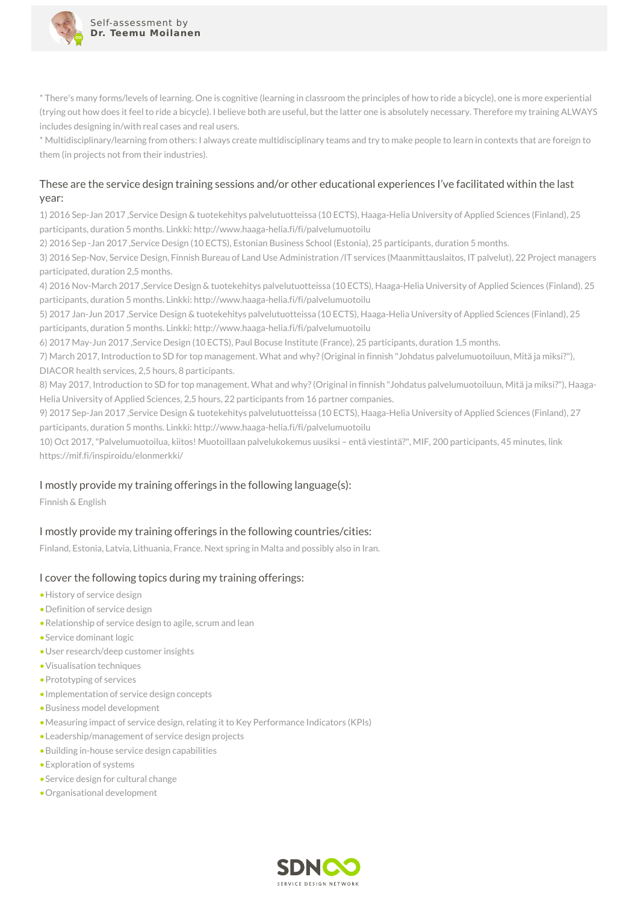

\* There's many forms/levels of learning. One is cognitive (learning in classroom the principles of how to ride a bicycle), one is more experiential (trying out how does it feel to ride a bicycle). I believe both are useful, but the latter one is absolutely necessary. Therefore my training ALWAYS includes designing in/with real cases and real users.

\* Multidisciplinary/learning from others: I always create multidisciplinary teams and try to make people to learn in contexts that are foreign to them (in projects not from their industries).

# These are the service design training sessions and/or other educational experiences I've facilitated within the last year:

1) 2016 Sep-Jan 2017 ,Service Design & tuotekehitys palvelutuotteissa (10 ECTS), Haaga-Helia University of Applied Sciences (Finland), 25 participants, duration 5 months. Linkki: http://www.haaga-helia.fi/fi/palvelumuotoilu

2) 2016 Sep -Jan 2017 ,Service Design (10 ECTS), Estonian Business School (Estonia), 25 participants, duration 5 months.

3) 2016 Sep-Nov, Service Design, Finnish Bureau of Land Use Administration /IT services (Maanmittauslaitos, IT palvelut), 22 Project managers participated, duration 2,5 months.

4) 2016 Nov-March 2017 ,Service Design & tuotekehitys palvelutuotteissa (10 ECTS), Haaga-Helia University of Applied Sciences (Finland), 25 participants, duration 5 months. Linkki: http://www.haaga-helia.fi/fi/palvelumuotoilu

5) 2017 Jan-Jun 2017 ,Service Design & tuotekehitys palvelutuotteissa (10 ECTS), Haaga-Helia University of Applied Sciences (Finland), 25 participants, duration 5 months. Linkki: http://www.haaga-helia.fi/fi/palvelumuotoilu

6) 2017 May-Jun 2017 ,Service Design (10 ECTS), Paul Bocuse Institute (France), 25 participants, duration 1,5 months.

7) March 2017, Introduction to SD for top management. What and why?(Original in finnish "Johdatus palvelumuotoiluun, Mitä ja miksi?"), DIACOR health services, 2,5 hours, 8 participants.

8) May 2017, Introduction to SD for top management. What and why?(Original in finnish "Johdatus palvelumuotoiluun, Mitä ja miksi?"), Haaga-Helia University of Applied Sciences, 2,5 hours, 22 participants from 16 partner companies.

9) 2017 Sep-Jan 2017 ,Service Design & tuotekehitys palvelutuotteissa (10 ECTS), Haaga-Helia University of Applied Sciences (Finland), 27 participants, duration 5 months. Linkki: http://www.haaga-helia.fi/fi/palvelumuotoilu

10) Oct 2017,"Palvelumuotoilua, kiitos! Muotoillaan palvelukokemus uusiksi – entä viestintä?", MIF, 200 participants, 45 minutes, link https://mif.fi/inspiroidu/elonmerkki/

### I mostly provide my training offerings in the following language(s):

Finnish & English

# I mostly provide my training offerings in the following countries/cities:

Finland, Estonia, Latvia, Lithuania, France. Next spring in Malta and possibly also in Iran.

### I cover the following topics during my training offerings:

- •History of service design
- •Definition of service design
- •Relationship of service design to agile, scrum and lean
- •Service dominant logic
- •User research/deep customer insights
- •Visualisation techniques
- •Prototyping of services
- •Implementation of service design concepts
- •Business model development
- •Measuring impact of service design, relating it to Key Performance Indicators (KPIs)
- •Leadership/management of service design projects
- •Building in-house service design capabilities
- •Exploration of systems
- •Service design for cultural change
- •Organisational development

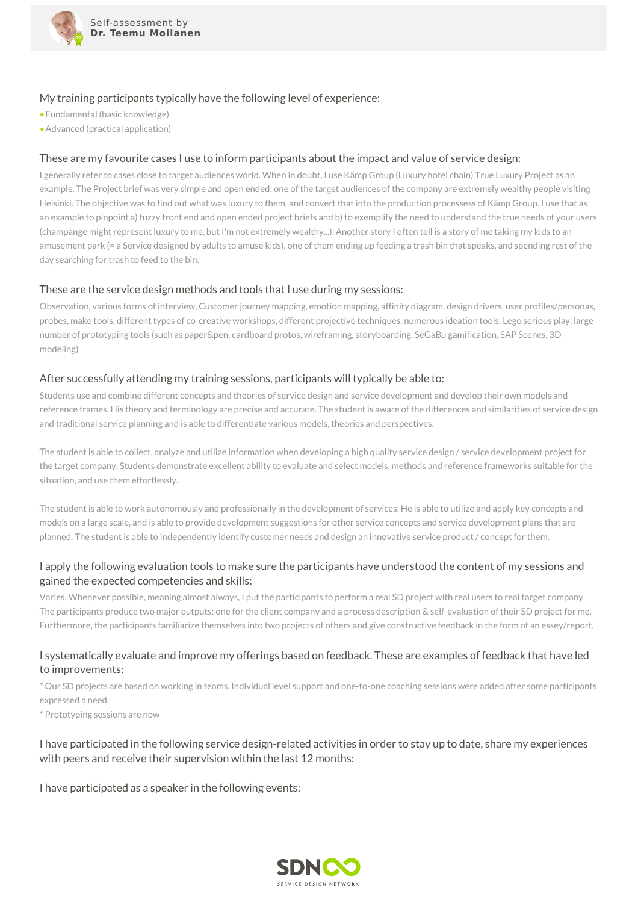

### My training participants typically have the following level of experience:

•Fundamental (basic knowledge)

•Advanced (practical application)

# These are my favourite cases I use to inform participants about the impact and value of service design:

I generally refer to cases close to target audiences world. When in doubt, I use Kämp Group (Luxury hotel chain) True Luxury Project as an example. The Project brief was very simple and open ended: one of the target audiences of the company are extremely wealthy people visiting Helsinki. The objective was to find out what was luxury to them, and convert that into the production processess of Kämp Group. I use that as an example to pinpoint a) fuzzy front end and open ended project briefs and b) to exemplify the need to understand the true needs of your users (champange might represent luxury to me, but I'm not extremely wealthy...). Another story I often tell is a story of me taking my kids to an amusement park (= a Service designed by adults to amuse kids), one of them ending up feeding a trash bin that speaks, and spending rest of the day searching for trash to feed to the bin.

### These are the service design methods and tools that I use during my sessions:

Observation, various forms of interview, Customer journey mapping, emotion mapping, affinity diagram, design drivers, user profiles/personas, probes, make tools, different types of co-creative workshops, different projective techniques, numerous ideation tools, Lego serious play, large number of prototyping tools (such as paper&pen, cardboard protos, wireframing, storyboarding, SeGaBu gamification, SAP Scenes, 3D modeling)

#### After successfully attending my training sessions, participants will typically be able to:

Students use and combine different concepts and theories of service design and service development and develop their own models and reference frames. His theory and terminology are precise and accurate. The student is aware of the differences and similarities of service design and traditional service planning and is able to differentiate various models, theories and perspectives.

The student is able to collect, analyze and utilize information when developing a high quality service design / service development project for the target company. Students demonstrate excellent ability to evaluate and select models, methods and reference frameworks suitable for the situation, and use them effortlessly.

The student is able to work autonomously and professionally in the development of services. He is able to utilize and apply key concepts and models on a large scale, and is able to provide development suggestions for other service concepts and service development plans that are planned. The student is able to independently identify customer needs and design an innovative service product / concept for them.

# I apply the following evaluation tools to make sure the participants have understood the content of my sessions and gained the expected competencies and skills:

Varies. Whenever possible, meaning almost always, I put the participants to perform a real SD project with real users to real target company. The participants produce two major outputs: one for the client company and a process description & self-evaluation of their SD project for me. Furthermore, the participants familiarize themselves into two projects of others and give constructive feedback in the form of an essey/report.

### I systematically evaluate and improve my offerings based on feedback. These are examples of feedback that have led to improvements:

\* Our SD projects are based on working in teams. Individual level support and one-to-one coaching sessions were added after some participants expressed a need.

\* Prototyping sessions are now

# I have participated in the following service design-related activities in order to stay up to date, share my experiences with peers and receive their supervision within the last 12 months:

I have participated as a speaker in the following events: